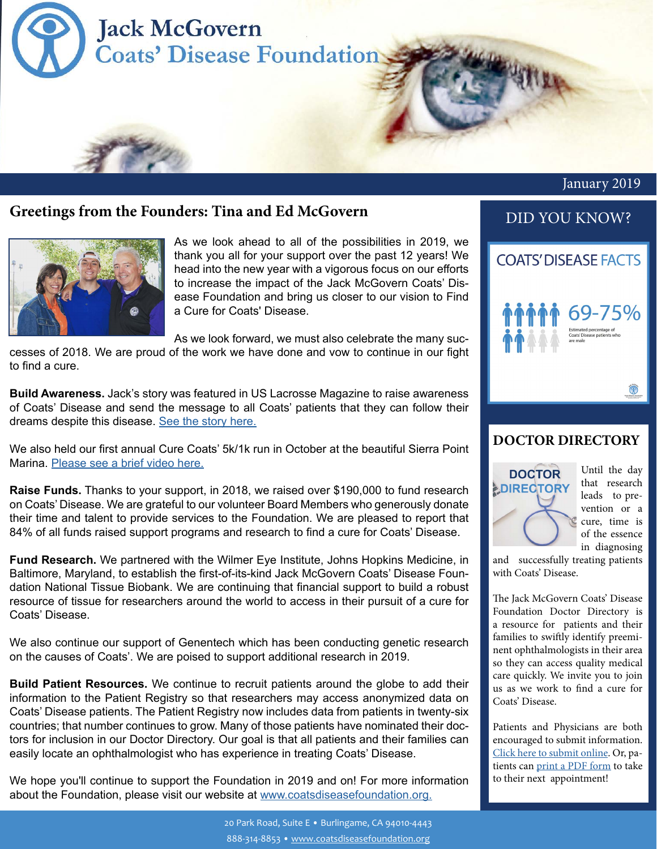

### **Greetings from the Founders: Tina and Ed McGovern**



As we look ahead to all of the possibilities in 2019, we thank you all for your support over the past 12 years! We head into the new year with a vigorous focus on our efforts to increase the impact of the Jack McGovern Coats' Disease Foundation and bring us closer to our vision to Find a Cure for Coats' Disease.

As we look forward, we must also celebrate the many successes of 2018. We are proud of the work we have done and vow to continue in our fight

to find a cure.

**Build Awareness.** Jack's story was featured in US Lacrosse Magazine to raise awareness of Coats' Disease and send the message to all Coats' patients that they can follow their dreams despite this disease. [See the story here.](https://coatsdiseasefoundation.org/wp-content/uploads/Beacon-of-Hope-Article_US-Lacrosse-Magazine.pdf)

We also held our first annual Cure Coats' 5k/1k run in October at the beautiful Sierra Point Marina. [Please see a brief video here.](https://coatsdiseasefoundation.org/first-annual-5k-1k-cure-coats-run/)

**Raise Funds.** Thanks to your support, in 2018, we raised over \$190,000 to fund research on Coats' Disease. We are grateful to our volunteer Board Members who generously donate their time and talent to provide services to the Foundation. We are pleased to report that 84% of all funds raised support programs and research to find a cure for Coats' Disease.

**Fund Research.** We partnered with the Wilmer Eye Institute, Johns Hopkins Medicine, in Baltimore, Maryland, to establish the first-of-its-kind Jack McGovern Coats' Disease Foundation National Tissue Biobank. We are continuing that financial support to build a robust resource of tissue for researchers around the world to access in their pursuit of a cure for Coats' Disease.

We also continue our support of Genentech which has been conducting genetic research on the causes of Coats'. We are poised to support additional research in 2019.

**Build Patient Resources.** We continue to recruit patients around the globe to add their information to the Patient Registry so that researchers may access anonymized data on Coats' Disease patients. The Patient Registry now includes data from patients in twenty-six countries; that number continues to grow. Many of those patients have nominated their doctors for inclusion in our Doctor Directory. Our goal is that all patients and their families can easily locate an ophthalmologist who has experience in treating Coats' Disease.

We hope you'll continue to support the Foundation in 2019 and on! For more information about the Foundation, please visit our website at [www.coatsdiseasefoundation.org.](http://www.coatsdiseasefoundation.org.)

## DID YOU KNOW?



#### **DOCTOR DIRECTORY**



Until the day that research leads to prevention or a cure, time is of the essence in diagnosing

and successfully treating patients with Coats' Disease.

The Jack McGovern Coats' Disease Foundation Doctor Directory is a resource for patients and their families to swiftly identify preeminent ophthalmologists in their area so they can access quality medical care quickly. We invite you to join us as we work to find a cure for Coats' Disease.

Patients and Physicians are both encouraged to submit information. [Click here to submit online.](https://coatsdiseasefoundation.org/doctor-directory-form/) Or, patients can [print a PDF form](https://coatsdiseasefoundation.org/wp-content/uploads/Doctor-Directory-Form_print.pdf) to take to their next appointment!